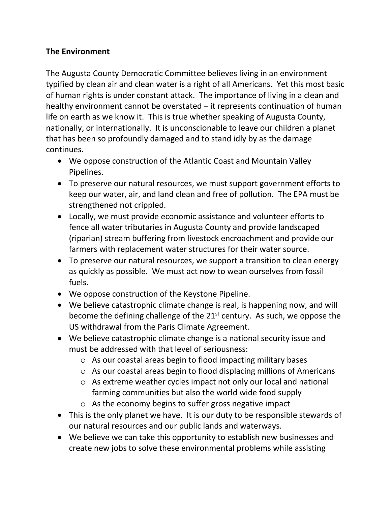## **The Environment**

The Augusta County Democratic Committee believes living in an environment typified by clean air and clean water is a right of all Americans. Yet this most basic of human rights is under constant attack. The importance of living in a clean and healthy environment cannot be overstated – it represents continuation of human life on earth as we know it. This is true whether speaking of Augusta County, nationally, or internationally. It is unconscionable to leave our children a planet that has been so profoundly damaged and to stand idly by as the damage continues.

- We oppose construction of the Atlantic Coast and Mountain Valley Pipelines.
- To preserve our natural resources, we must support government efforts to keep our water, air, and land clean and free of pollution. The EPA must be strengthened not crippled.
- Locally, we must provide economic assistance and volunteer efforts to fence all water tributaries in Augusta County and provide landscaped (riparian) stream buffering from livestock encroachment and provide our farmers with replacement water structures for their water source.
- To preserve our natural resources, we support a transition to clean energy as quickly as possible. We must act now to wean ourselves from fossil fuels.
- We oppose construction of the Keystone Pipeline.
- We believe catastrophic climate change is real, is happening now, and will become the defining challenge of the  $21<sup>st</sup>$  century. As such, we oppose the US withdrawal from the Paris Climate Agreement.
- We believe catastrophic climate change is a national security issue and must be addressed with that level of seriousness:
	- o As our coastal areas begin to flood impacting military bases
	- o As our coastal areas begin to flood displacing millions of Americans
	- o As extreme weather cycles impact not only our local and national farming communities but also the world wide food supply
	- o As the economy begins to suffer gross negative impact
- This is the only planet we have. It is our duty to be responsible stewards of our natural resources and our public lands and waterways.
- We believe we can take this opportunity to establish new businesses and create new jobs to solve these environmental problems while assisting